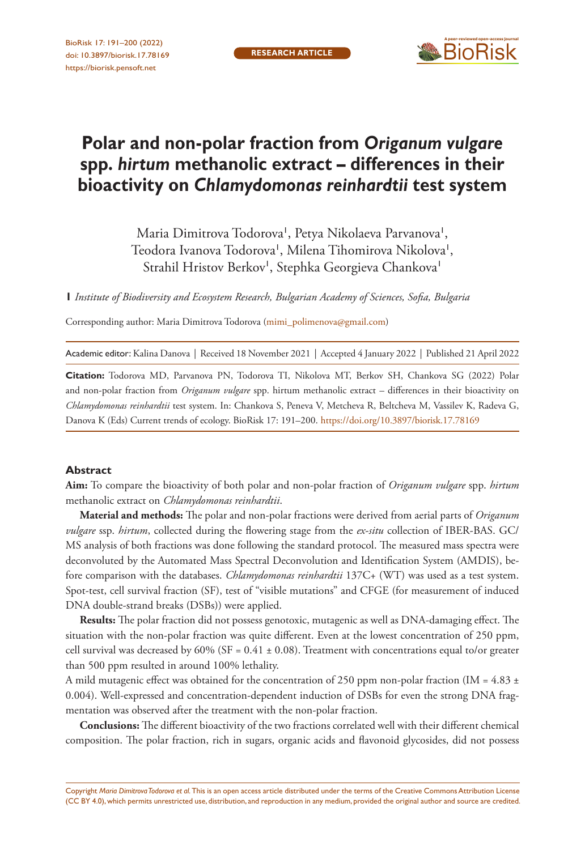

# **Polar and non-polar fraction from** *Origanum vulgare* **spp.** *hirtum* **methanolic extract – differences in their bioactivity on** *Chlamydomonas reinhardtii* **test system**

Maria Dimitrova Todorova', Petya Nikolaeva Parvanova', Teodora Ivanova Todorova', Milena Tihomirova Nikolova', Strahil Hristov Berkov', Stephka Georgieva Chankova'

**1** *Institute of Biodiversity and Ecosystem Research, Bulgarian Academy of Sciences, Sofia, Bulgaria*

Corresponding author: Maria Dimitrova Todorova [\(mimi\\_polimenova@gmail.com\)](mailto:mimi_polimenova@gmail.com)

Academic editor: Kalina Danova | Received 18 November 2021 | Accepted 4 January 2022 | Published 21 April 2022

**Citation:** Todorova MD, Parvanova PN, Todorova TI, Nikolova MT, Berkov SH, Chankova SG (2022) Polar and non-polar fraction from *Origanum vulgare* spp. hirtum methanolic extract – differences in their bioactivity on *Chlamydomonas reinhardtii* test system. In: Chankova S, Peneva V, Metcheva R, Beltcheva M, Vassilev K, Radeva G, Danova K (Eds) Current trends of ecology. BioRisk 17: 191–200.<https://doi.org/10.3897/biorisk.17.78169>

#### **Abstract**

**Aim:** To compare the bioactivity of both polar and non-polar fraction of *Origanum vulgare* spp. *hirtum* methanolic extract on *Chlamydomonas reinhardtii*.

**Material and methods:** The polar and non-polar fractions were derived from aerial parts of *Origanum vulgare* ssp. *hirtum*, collected during the flowering stage from the *ex*-*situ* collection of IBER-BAS. GC/ MS analysis of both fractions was done following the standard protocol. The measured mass spectra were deconvoluted by the Automated Mass Spectral Deconvolution and Identification System (AMDIS), before comparison with the databases. *Chlamydomonas reinhardtii* 137C+ (WT) was used as a test system. Spot-test, cell survival fraction (SF), test of "visible mutations" and CFGE (for measurement of induced DNA double-strand breaks (DSBs)) were applied.

**Results:** The polar fraction did not possess genotoxic, mutagenic as well as DNA-damaging effect. The situation with the non-polar fraction was quite different. Even at the lowest concentration of 250 ppm, cell survival was decreased by  $60\%$  (SF =  $0.41 \pm 0.08$ ). Treatment with concentrations equal to/or greater than 500 ppm resulted in around 100% lethality.

A mild mutagenic effect was obtained for the concentration of 250 ppm non-polar fraction (IM =  $4.83 \pm$ 0.004). Well-expressed and concentration-dependent induction of DSBs for even the strong DNA fragmentation was observed after the treatment with the non-polar fraction.

**Conclusions:** The different bioactivity of the two fractions correlated well with their different chemical composition. The polar fraction, rich in sugars, organic acids and flavonoid glycosides, did not possess

Copyright *Maria Dimitrova Todorova et al.* This is an open access article distributed under the terms of the [Creative Commons Attribution License](http://creativecommons.org/licenses/by/4.0/)  [\(CC BY 4.0\)](http://creativecommons.org/licenses/by/4.0/), which permits unrestricted use, distribution, and reproduction in any medium, provided the original author and source are credited.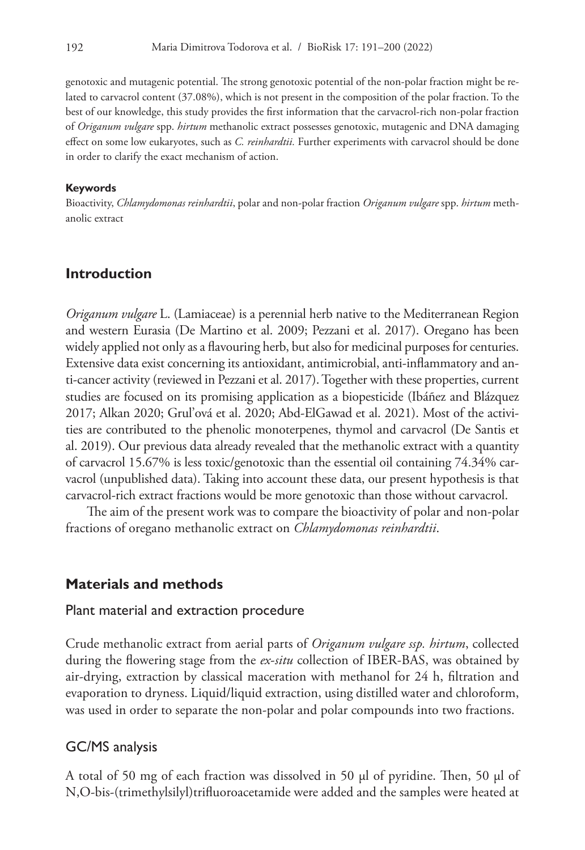genotoxic and mutagenic potential. The strong genotoxic potential of the non-polar fraction might be related to carvacrol content (37.08%), which is not present in the composition of the polar fraction. To the best of our knowledge, this study provides the first information that the carvacrol-rich non-polar fraction of *Origanum vulgare* spp. *hirtum* methanolic extract possesses genotoxic, mutagenic and DNA damaging effect on some low eukaryotes, such as *C. reinhardtii.* Further experiments with carvacrol should be done in order to clarify the exact mechanism of action.

#### **Keywords**

Bioactivity, *Chlamydomonas reinhardtii*, polar and non-polar fraction *Origanum vulgare* spp. *hirtum* methanolic extract

### **Introduction**

*Origanum vulgare* L. (Lamiaceae) is a perennial herb native to the Mediterranean Region and western Eurasia (De Martino et al. 2009; Pezzani et al. 2017). Oregano has been widely applied not only as a flavouring herb, but also for medicinal purposes for centuries. Extensive data exist concerning its antioxidant, antimicrobial, anti-inflammatory and anti-cancer activity (reviewed in Pezzani et al. 2017). Together with these properties, current studies are focused on its promising application as a biopesticide (Ibáñez and Blázquez 2017; Alkan 2020; Grul'ová et al. 2020; Abd-ElGawad et al. 2021). Most of the activities are contributed to the phenolic monoterpenes, thymol and carvacrol (De Santis et al. 2019). Our previous data already revealed that the methanolic extract with a quantity of carvacrol 15.67% is less toxic/genotoxic than the essential oil containing 74.34% carvacrol (unpublished data). Taking into account these data, our present hypothesis is that carvacrol-rich extract fractions would be more genotoxic than those without carvacrol.

The aim of the present work was to compare the bioactivity of polar and non-polar fractions of oregano methanolic extract on *Chlamydomonas reinhardtii*.

### **Materials and methods**

### Plant material and extraction procedure

Crude methanolic extract from aerial parts of *Origanum vulgare ssp. hirtum*, collected during the flowering stage from the *ex*-*situ* collection of IBER-BAS, was obtained by air-drying, extraction by classical maceration with methanol for 24 h, filtration and evaporation to dryness. Liquid/liquid extraction, using distilled water and chloroform, was used in order to separate the non-polar and polar compounds into two fractions.

### GC/MS analysis

A total of 50 mg of each fraction was dissolved in 50 μl of pyridine. Then, 50 μl of N,O-bis-(trimethylsilyl)trifluoroacetamide were added and the samples were heated at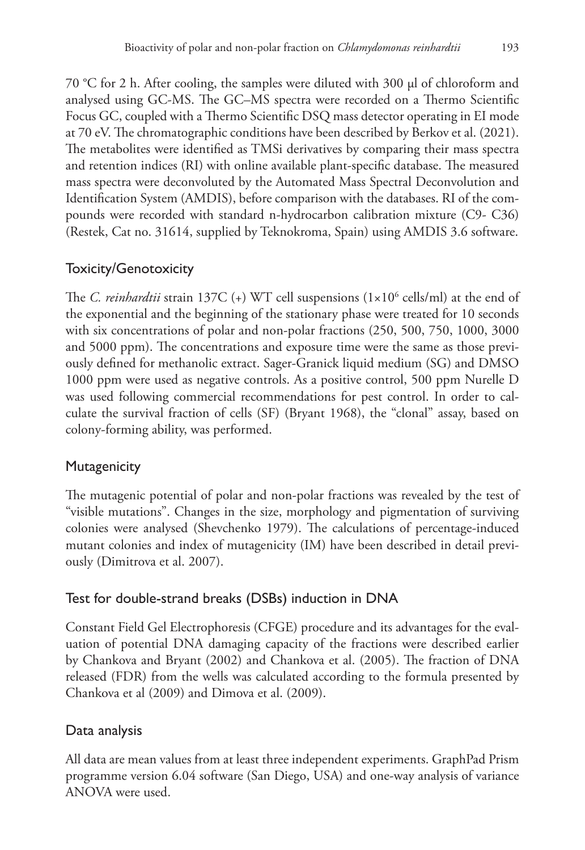70 °C for 2 h. After cooling, the samples were diluted with 300 μl of chloroform and analysed using GC-MS. The GC–MS spectra were recorded on a Thermo Scientific Focus GC, coupled with a Thermo Scientific DSQ mass detector operating in EI mode at 70 eV. The chromatographic conditions have been described by Berkov et al. (2021). The metabolites were identified as TMSi derivatives by comparing their mass spectra and retention indices (RI) with online available plant-specific database. The measured mass spectra were deconvoluted by the Automated Mass Spectral Deconvolution and Identification System (AMDIS), before comparison with the databases. RI of the compounds were recorded with standard n-hydrocarbon calibration mixture (C9- C36) (Restek, Cat no. 31614, supplied by Teknokroma, Spain) using AMDIS 3.6 software.

# Toxicity/Genotoxicity

The *C. reinhardtii* strain 137C (+) WT cell suspensions (1×10<sup>6</sup> cells/ml) at the end of the exponential and the beginning of the stationary phase were treated for 10 seconds with six concentrations of polar and non-polar fractions (250, 500, 750, 1000, 3000 and 5000 ppm). The concentrations and exposure time were the same as those previously defined for methanolic extract. Sager-Granick liquid medium (SG) and DMSO 1000 ppm were used as negative controls. As a positive control, 500 ppm Nurelle D was used following commercial recommendations for pest control. In order to calculate the survival fraction of cells (SF) (Bryant 1968), the "clonal" assay, based on colony-forming ability, was performed.

# **Mutagenicity**

The mutagenic potential of polar and non-polar fractions was revealed by the test of "visible mutations". Changes in the size, morphology and pigmentation of surviving colonies were analysed (Shevchenko 1979). The calculations of percentage-induced mutant colonies and index of mutagenicity (IM) have been described in detail previously (Dimitrova et al. 2007).

### Test for double-strand breaks (DSBs) induction in DNA

Constant Field Gel Electrophoresis (CFGE) procedure and its advantages for the evaluation of potential DNA damaging capacity of the fractions were described earlier by Chankova and Bryant (2002) and Chankova et al. (2005). The fraction of DNA released (FDR) from the wells was calculated according to the formula presented by Chankova et al (2009) and Dimova et al. (2009).

# Data analysis

All data are mean values from at least three independent experiments. GraphPad Prism programme version 6.04 software (San Diego, USA) and one-way analysis of variance ANOVA were used.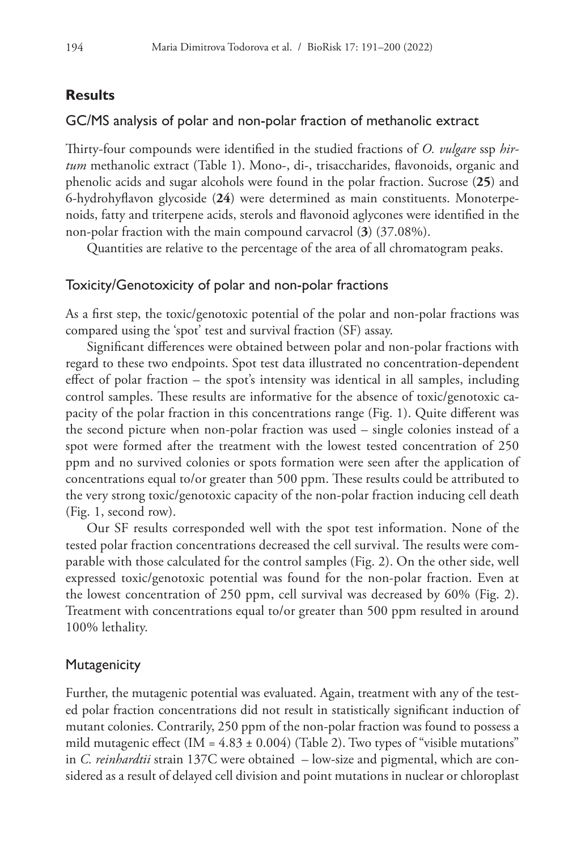### **Results**

### GC/MS analysis of polar and non-polar fraction of methanolic extract

Thirty-four compounds were identified in the studied fractions of *O. vulgare* ssp *hirtum* methanolic extract (Table 1). Mono-, di-, trisaccharides, flavonoids, organic and phenolic acids and sugar alcohols were found in the polar fraction. Sucrose (**25**) and 6-hydrohyflavon glycoside (**24**) were determined as main constituents. Monoterpenoids, fatty and triterpene acids, sterols and flavonoid aglycones were identified in the non-polar fraction with the main compound carvacrol (**3**) (37.08%).

Quantities are relative to the percentage of the area of all chromatogram peaks.

#### Toxicity/Genotoxicity of polar and non-polar fractions

As a first step, the toxic/genotoxic potential of the polar and non-polar fractions was compared using the 'spot' test and survival fraction (SF) assay.

Significant differences were obtained between polar and non-polar fractions with regard to these two endpoints. Spot test data illustrated no concentration-dependent effect of polar fraction – the spot's intensity was identical in all samples, including control samples. These results are informative for the absence of toxic/genotoxic capacity of the polar fraction in this concentrations range (Fig. 1). Quite different was the second picture when non-polar fraction was used – single colonies instead of a spot were formed after the treatment with the lowest tested concentration of 250 ppm and no survived colonies or spots formation were seen after the application of concentrations equal to/or greater than 500 ppm. These results could be attributed to the very strong toxic/genotoxic capacity of the non-polar fraction inducing cell death (Fig. 1, second row).

Our SF results corresponded well with the spot test information. None of the tested polar fraction concentrations decreased the cell survival. The results were comparable with those calculated for the control samples (Fig. 2). On the other side, well expressed toxic/genotoxic potential was found for the non-polar fraction. Even at the lowest concentration of 250 ppm, cell survival was decreased by 60% (Fig. 2). Treatment with concentrations equal to/or greater than 500 ppm resulted in around 100% lethality.

#### **Mutagenicity**

Further, the mutagenic potential was evaluated. Again, treatment with any of the tested polar fraction concentrations did not result in statistically significant induction of mutant colonies. Contrarily, 250 ppm of the non-polar fraction was found to possess a mild mutagenic effect (IM =  $4.83 \pm 0.004$ ) (Table 2). Two types of "visible mutations" in *C. reinhardtii* strain 137C were obtained – low-size and pigmental, which are considered as a result of delayed cell division and point mutations in nuclear or chloroplast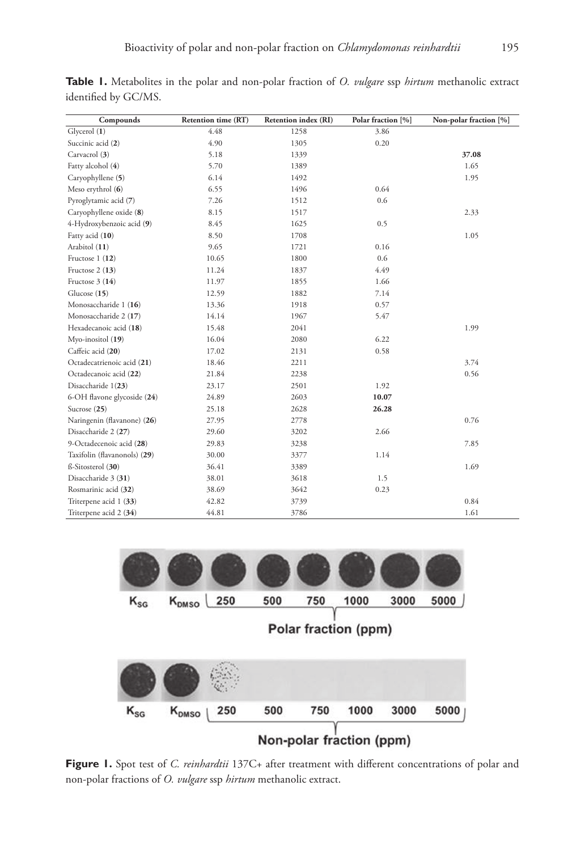| Compounds                    | Retention time (RT) | Retention index (RI) | Polar fraction [%] | Non-polar fraction [%] |
|------------------------------|---------------------|----------------------|--------------------|------------------------|
| Glycerol (1)                 | 4.48                | 1258                 | 3.86               |                        |
| Succinic acid (2)            | 4.90                | 1305                 | 0.20               |                        |
| Carvacrol (3)                | 5.18                | 1339                 |                    | 37.08                  |
| Fatty alcohol (4)            | 5.70                | 1389                 |                    | 1.65                   |
| Caryophyllene (5)            | 6.14                | 1492                 |                    | 1.95                   |
| Meso erythrol (6)            | 6.55                | 1496                 | 0.64               |                        |
| Pyroglytamic acid (7)        | 7.26                | 1512                 | 0.6                |                        |
| Caryophyllene oxide (8)      | 8.15                | 1517                 |                    | 2.33                   |
| 4-Hydroxybenzoic acid (9)    | 8.45                | 1625                 | 0.5                |                        |
| Fatty acid (10)              | 8.50                | 1708                 |                    | 1.05                   |
| Arabitol (11)                | 9.65                | 1721                 | 0.16               |                        |
| Fructose 1 (12)              | 10.65               | 1800                 | 0.6                |                        |
| Fructose 2 (13)              | 11.24               | 1837                 | 4.49               |                        |
| Fructose 3 (14)              | 11.97               | 1855                 | 1.66               |                        |
| Glucose (15)                 | 12.59               | 1882                 | 7.14               |                        |
| Monosaccharide 1 (16)        | 13.36               | 1918                 | 0.57               |                        |
| Monosaccharide 2 (17)        | 14.14               | 1967                 | 5.47               |                        |
| Hexadecanoic acid (18)       | 15.48               | 2041                 |                    | 1.99                   |
| Myo-inositol (19)            | 16.04               | 2080                 | 6.22               |                        |
| Caffeic acid (20)            | 17.02               | 2131                 | 0.58               |                        |
| Octadecatrienoic acid (21)   | 18.46               | 2211                 |                    | 3.74                   |
| Octadecanoic acid (22)       | 21.84               | 2238                 |                    | 0.56                   |
| Disaccharide 1(23)           | 23.17               | 2501                 | 1.92               |                        |
| 6-OH flavone glycoside (24)  | 24.89               | 2603                 | 10.07              |                        |
| Sucrose $(25)$               | 25.18               | 2628                 | 26.28              |                        |
| Naringenin (flavanone) (26)  | 27.95               | 2778                 |                    | 0.76                   |
| Disaccharide 2 (27)          | 29.60               | 3202                 | 2.66               |                        |
| 9-Octadecenoic acid (28)     | 29.83               | 3238                 |                    | 7.85                   |
| Taxifolin (flavanonols) (29) | 30.00               | 3377                 | 1.14               |                        |
| ß-Sitosterol (30)            | 36.41               | 3389                 |                    | 1.69                   |
| Disaccharide 3 (31)          | 38.01               | 3618                 | 1.5                |                        |
| Rosmarinic acid (32)         | 38.69               | 3642                 | 0.23               |                        |
| Triterpene acid 1 (33)       | 42.82               | 3739                 |                    | 0.84                   |
| Triterpene acid 2 (34)       | 44.81               | 3786                 |                    | 1.61                   |

**Table 1.** Metabolites in the polar and non-polar fraction of *O. vulgare* ssp *hirtum* methanolic extract identified by GC/MS.



Figure 1. Spot test of *C. reinhardtii* 137C+ after treatment with different concentrations of polar and non-polar fractions of *O. vulgare* ssp *hirtum* methanolic extract.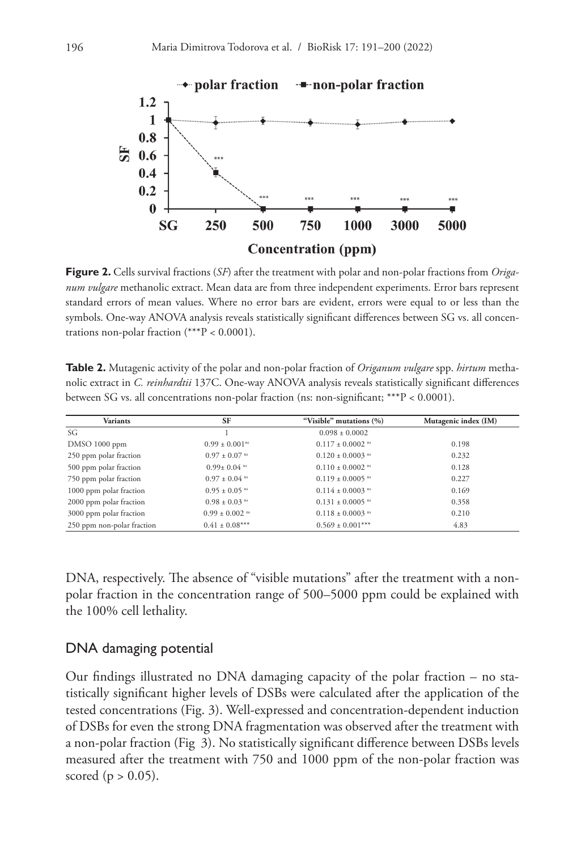

**Figure 2.** Cells survival fractions (*SF*) after the treatment with polar and non-polar fractions from *Origanum vulgare* methanolic extract. Mean data are from three independent experiments. Error bars represent standard errors of mean values. Where no error bars are evident, errors were equal to or less than the symbols. One-way ANOVA analysis reveals statistically significant differences between SG vs. all concentrations non-polar fraction (\*\*\*P < 0.0001).

**Table 2.** Mutagenic activity of the polar and non-polar fraction of *Origanum vulgare* spp. *hirtum* methanolic extract in *C. reinhardtii* 137C. One-way ANOVA analysis reveals statistically significant differences between SG vs. all concentrations non-polar fraction (ns: non-significant; \*\*\*P < 0.0001).

| Variants                   | <b>SF</b>                      | "Visible" mutations (%)          | Mutagenic index (IM) |
|----------------------------|--------------------------------|----------------------------------|----------------------|
| SG                         |                                | $0.098 \pm 0.0002$               |                      |
| DMSO 1000 ppm              | $0.99 \pm 0.001$ <sup>ns</sup> | $0.117 \pm 0.0002$ <sup>ns</sup> | 0.198                |
| 250 ppm polar fraction     | $0.97 \pm 0.07$ <sup>ms</sup>  | $0.120 \pm 0.0003$ <sup>ns</sup> | 0.232                |
| 500 ppm polar fraction     | $0.99 \pm 0.04$ <sup>ns</sup>  | $0.110 \pm 0.0002$ ns            | 0.128                |
| 750 ppm polar fraction     | $0.97 \pm 0.04$ <sup>ms</sup>  | $0.119 \pm 0.0005$ <sup>ns</sup> | 0.227                |
| 1000 ppm polar fraction    | $0.95 \pm 0.05$ <sup>ms</sup>  | $0.114 \pm 0.0003$ <sup>ns</sup> | 0.169                |
| 2000 ppm polar fraction    | $0.98 \pm 0.03$ <sup>ns</sup>  | $0.131 \pm 0.0005$ <sup>ns</sup> | 0.358                |
| 3000 ppm polar fraction    | $0.99 \pm 0.002$ <sup>ns</sup> | $0.118 \pm 0.0003$ <sup>ns</sup> | 0.210                |
| 250 ppm non-polar fraction | $0.41 \pm 0.08***$             | $0.569 \pm 0.001***$             | 4.83                 |

DNA, respectively. The absence of "visible mutations" after the treatment with a nonpolar fraction in the concentration range of 500–5000 ppm could be explained with the 100% cell lethality.

### DNA damaging potential

Our findings illustrated no DNA damaging capacity of the polar fraction – no statistically significant higher levels of DSBs were calculated after the application of the tested concentrations (Fig. 3). Well-expressed and concentration-dependent induction of DSBs for even the strong DNA fragmentation was observed after the treatment with a non-polar fraction (Fig 3). No statistically significant difference between DSBs levels measured after the treatment with 750 and 1000 ppm of the non-polar fraction was scored ( $p > 0.05$ ).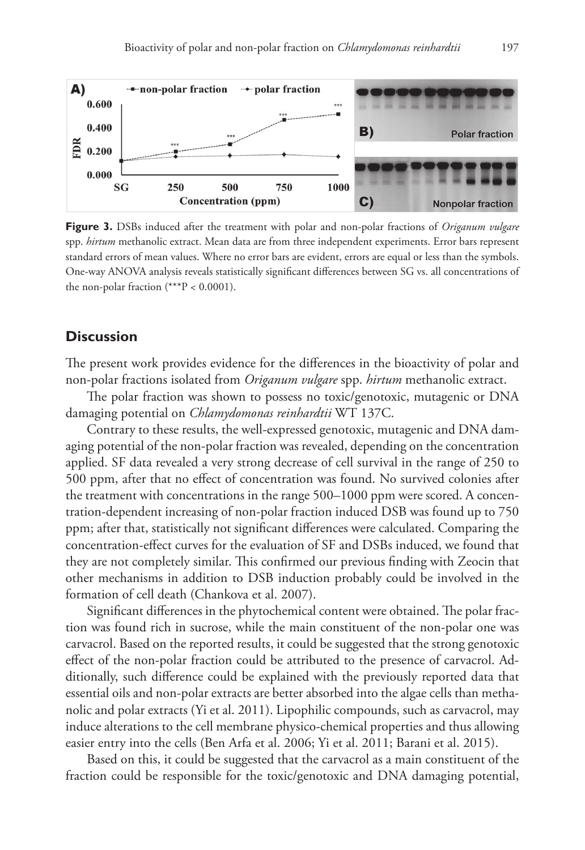

**Figure 3.** DSBs induced after the treatment with polar and non-polar fractions of *Origanum vulgare* spp. *hirtum* methanolic extract. Mean data are from three independent experiments. Error bars represent standard errors of mean values. Where no error bars are evident, errors are equal or less than the symbols. One-way ANOVA analysis reveals statistically significant differences between SG vs. all concentrations of the non-polar fraction  $(***P < 0.0001)$ .

### **Discussion**

The present work provides evidence for the differences in the bioactivity of polar and non-polar fractions isolated from *Origanum vulgare* spp. *hirtum* methanolic extract.

The polar fraction was shown to possess no toxic/genotoxic, mutagenic or DNA damaging potential on *Chlamydomonas reinhardtii* WT 137C.

Contrary to these results, the well-expressed genotoxic, mutagenic and DNA damaging potential of the non-polar fraction was revealed, depending on the concentration applied. SF data revealed a very strong decrease of cell survival in the range of 250 to 500 ppm, after that no effect of concentration was found. No survived colonies after the treatment with concentrations in the range 500–1000 ppm were scored. A concentration-dependent increasing of non-polar fraction induced DSB was found up to 750 ppm; after that, statistically not significant differences were calculated. Comparing the concentration-effect curves for the evaluation of SF and DSBs induced, we found that they are not completely similar. This confirmed our previous finding with Zeocin that other mechanisms in addition to DSB induction probably could be involved in the formation of cell death (Chankova et al. 2007).

Significant differences in the phytochemical content were obtained. The polar fraction was found rich in sucrose, while the main constituent of the non-polar one was carvacrol. Based on the reported results, it could be suggested that the strong genotoxic effect of the non-polar fraction could be attributed to the presence of carvacrol. Additionally, such difference could be explained with the previously reported data that essential oils and non-polar extracts are better absorbed into the algae cells than methanolic and polar extracts (Yi et al. 2011). Lipophilic compounds, such as carvacrol, may induce alterations to the cell membrane physico-chemical properties and thus allowing easier entry into the cells (Ben Arfa et al. 2006; Yi et al. 2011; Barani et al. 2015).

Based on this, it could be suggested that the carvacrol as a main constituent of the fraction could be responsible for the toxic/genotoxic and DNA damaging potential,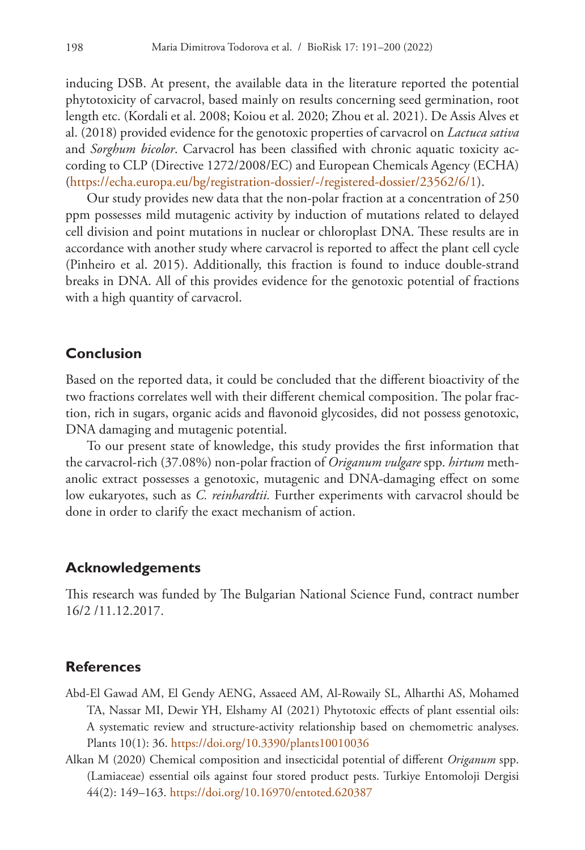inducing DSB. At present, the available data in the literature reported the potential phytotoxicity of carvacrol, based mainly on results concerning seed germination, root length etc. (Kordali et al. 2008; Koiou et al. 2020; Zhou et al. 2021). De Assis Alves et al. (2018) provided evidence for the genotoxic properties of carvacrol on *Lactuca sativa* and *Sorghum bicolor*. Carvacrol has been classified with chronic aquatic toxicity according to CLP (Directive 1272/2008/EC) and European Chemicals Agency (ECHA) ([https://echa.europa.eu/bg/registration-dossier/-/registered-dossier/23562/6/1\)](https://echa.europa.eu/bg/registration-dossier/-/registered-dossier/23562/6/1).

Our study provides new data that the non-polar fraction at a concentration of 250 ppm possesses mild mutagenic activity by induction of mutations related to delayed cell division and point mutations in nuclear or chloroplast DNA. These results are in accordance with another study where carvacrol is reported to affect the plant cell cycle (Pinheiro et al. 2015). Additionally, this fraction is found to induce double-strand breaks in DNA. All of this provides evidence for the genotoxic potential of fractions with a high quantity of carvacrol.

### **Conclusion**

Based on the reported data, it could be concluded that the different bioactivity of the two fractions correlates well with their different chemical composition. The polar fraction, rich in sugars, organic acids and flavonoid glycosides, did not possess genotoxic, DNA damaging and mutagenic potential.

To our present state of knowledge, this study provides the first information that the carvacrol-rich (37.08%) non-polar fraction of *Origanum vulgare* spp. *hirtum* methanolic extract possesses a genotoxic, mutagenic and DNA-damaging effect on some low eukaryotes, such as *C. reinhardtii.* Further experiments with carvacrol should be done in order to clarify the exact mechanism of action.

### **Acknowledgements**

This research was funded by The Bulgarian National Science Fund, contract number 16/2 /11.12.2017.

### **References**

- Abd-El Gawad AM, El Gendy AENG, Assaeed AM, Al-Rowaily SL, Alharthi AS, Mohamed TA, Nassar MI, Dewir YH, Elshamy AI (2021) Phytotoxic effects of plant essential oils: A systematic review and structure-activity relationship based on chemometric analyses. Plants 10(1): 36. <https://doi.org/10.3390/plants10010036>
- Alkan M (2020) Chemical composition and insecticidal potential of different *Origanum* spp. (Lamiaceae) essential oils against four stored product pests. Turkiye Entomoloji Dergisi 44(2): 149–163. <https://doi.org/10.16970/entoted.620387>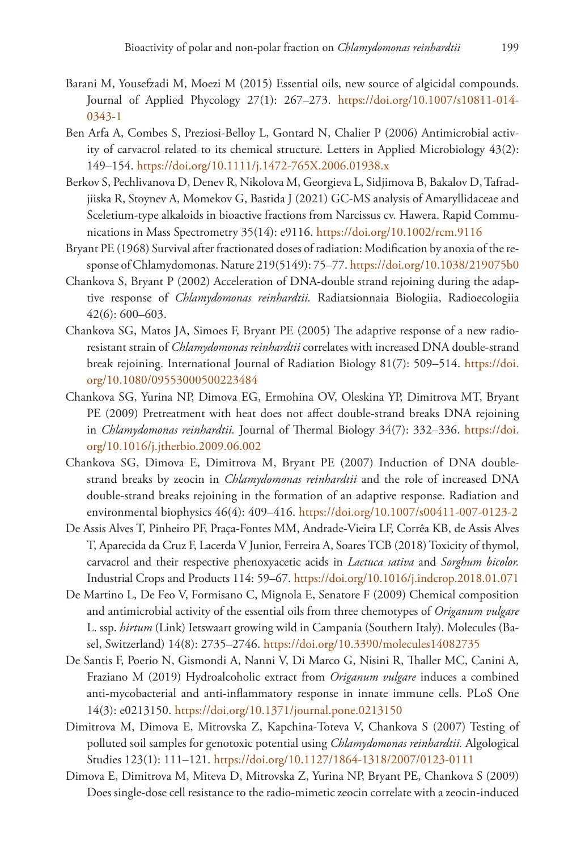- Barani M, Yousefzadi M, Moezi M (2015) Essential oils, new source of algicidal compounds. Journal of Applied Phycology 27(1): 267–273. [https://doi.org/10.1007/s10811-014-](https://doi.org/10.1007/s10811-014-0343-1) [0343-1](https://doi.org/10.1007/s10811-014-0343-1)
- Ben Arfa A, Combes S, Preziosi-Belloy L, Gontard N, Chalier P (2006) Antimicrobial activity of carvacrol related to its chemical structure. Letters in Applied Microbiology 43(2): 149–154.<https://doi.org/10.1111/j.1472-765X.2006.01938.x>
- Berkov S, Pechlivanova D, Denev R, Nikolova M, Georgieva L, Sidjimova B, Bakalov D, Tafradjiiska R, Stoynev A, Momekov G, Bastida J (2021) GC-MS analysis of Amaryllidaceae and Sceletium-type alkaloids in bioactive fractions from Narcissus cv. Hawera. Rapid Communications in Mass Spectrometry 35(14): e9116.<https://doi.org/10.1002/rcm.9116>
- Bryant PE (1968) Survival after fractionated doses of radiation: Modification by anoxia of the response of Chlamydomonas. Nature 219(5149): 75–77.<https://doi.org/10.1038/219075b0>
- Chankova S, Bryant P (2002) Acceleration of DNA-double strand rejoining during the adaptive response of *Chlamydomonas reinhardtii.* Radiatsionnaia Biologiia, Radioecologiia 42(6): 600–603.
- Chankova SG, Matos JA, Simoes F, Bryant PE (2005) The adaptive response of a new radioresistant strain of *Chlamydomonas reinhardtii* correlates with increased DNA double-strand break rejoining. International Journal of Radiation Biology 81(7): 509–514. [https://doi.](https://doi.org/10.1080/09553000500223484) [org/10.1080/09553000500223484](https://doi.org/10.1080/09553000500223484)
- Chankova SG, Yurina NP, Dimova EG, Ermohina OV, Oleskina YP, Dimitrova MT, Bryant PE (2009) Pretreatment with heat does not affect double-strand breaks DNA rejoining in *Chlamydomonas reinhardtii.* Journal of Thermal Biology 34(7): 332–336. [https://doi.](https://doi.org/10.1016/j.jtherbio.2009.06.002) [org/10.1016/j.jtherbio.2009.06.002](https://doi.org/10.1016/j.jtherbio.2009.06.002)
- Chankova SG, Dimova E, Dimitrova M, Bryant PE (2007) Induction of DNA doublestrand breaks by zeocin in *Chlamydomonas reinhardtii* and the role of increased DNA double-strand breaks rejoining in the formation of an adaptive response. Radiation and environmental biophysics 46(4): 409–416.<https://doi.org/10.1007/s00411-007-0123-2>
- De Assis Alves T, Pinheiro PF, Praça-Fontes MM, Andrade-Vieira LF, Corrêa KB, de Assis Alves T, Aparecida da Cruz F, Lacerda V Junior, Ferreira A, Soares TCB (2018) Toxicity of thymol, carvacrol and their respective phenoxyacetic acids in *Lactuca sativa* and *Sorghum bicolor.* Industrial Crops and Products 114: 59–67.<https://doi.org/10.1016/j.indcrop.2018.01.071>
- De Martino L, De Feo V, Formisano C, Mignola E, Senatore F (2009) Chemical composition and antimicrobial activity of the essential oils from three chemotypes of *Origanum vulgare* L. ssp. *hirtum* (Link) Ietswaart growing wild in Campania (Southern Italy). Molecules (Basel, Switzerland) 14(8): 2735–2746. <https://doi.org/10.3390/molecules14082735>
- De Santis F, Poerio N, Gismondi A, Nanni V, Di Marco G, Nisini R, Thaller MC, Canini A, Fraziano M (2019) Hydroalcoholic extract from *Origanum vulgare* induces a combined anti-mycobacterial and anti-inflammatory response in innate immune cells. PLoS One 14(3): e0213150. <https://doi.org/10.1371/journal.pone.0213150>
- Dimitrova M, Dimova E, Mitrovska Z, Kapchina-Toteva V, Chankova S (2007) Testing of polluted soil samples for genotoxic potential using *Chlamydomonas reinhardtii.* Algological Studies 123(1): 111–121.<https://doi.org/10.1127/1864-1318/2007/0123-0111>
- Dimova E, Dimitrova M, Miteva D, Mitrovska Z, Yurina NP, Bryant PE, Chankova S (2009) Does single-dose cell resistance to the radio-mimetic zeocin correlate with a zeocin-induced